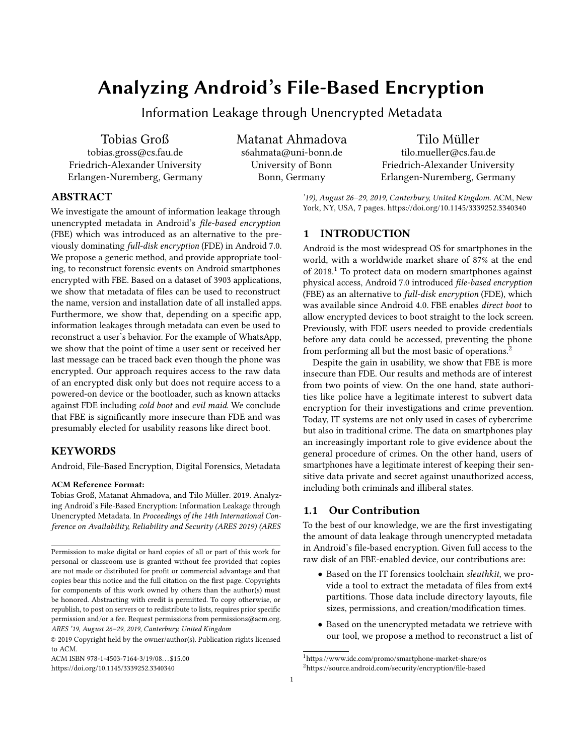# Analyzing Android's File-Based Encryption

Information Leakage through Unencrypted Metadata

Tobias Groß

tobias.gross@cs.fau.de Friedrich-Alexander University Erlangen-Nuremberg, Germany Matanat Ahmadova s6ahmata@uni-bonn.de University of Bonn

Bonn, Germany

Tilo Müller tilo.mueller@cs.fau.de Friedrich-Alexander University

Erlangen-Nuremberg, Germany

# ABSTRACT

We investigate the amount of information leakage through unencrypted metadata in Android's file-based encryption (FBE) which was introduced as an alternative to the previously dominating full-disk encryption (FDE) in Android 7.0. We propose a generic method, and provide appropriate tooling, to reconstruct forensic events on Android smartphones encrypted with FBE. Based on a dataset of 3903 applications, we show that metadata of files can be used to reconstruct the name, version and installation date of all installed apps. Furthermore, we show that, depending on a specific app, information leakages through metadata can even be used to reconstruct a user's behavior. For the example of WhatsApp, we show that the point of time a user sent or received her last message can be traced back even though the phone was encrypted. Our approach requires access to the raw data of an encrypted disk only but does not require access to a powered-on device or the bootloader, such as known attacks against FDE including cold boot and evil maid. We conclude that FBE is significantly more insecure than FDE and was presumably elected for usability reasons like direct boot.

# **KEYWORDS**

Android, File-Based Encryption, Digital Forensics, Metadata

#### ACM Reference Format:

Tobias Groß, Matanat Ahmadova, and Tilo Müller. 2019. Analyzing Android's File-Based Encryption: Information Leakage through Unencrypted Metadata. In Proceedings of the 14th International Conference on Availability, Reliability and Security (ARES 2019) (ARES '19), August 26–29, 2019, Canterbury, United Kingdom. ACM, New York, NY, USA, [7](#page-6-0) pages.<https://doi.org/10.1145/3339252.3340340>

# 1 INTRODUCTION

Android is the most widespread OS for smartphones in the world, with a worldwide market share of 87% at the end of 2018.[1](#page-0-0) To protect data on modern smartphones against physical access, Android 7.0 introduced file-based encryption (FBE) as an alternative to full-disk encryption (FDE), which was available since Android 4.0. FBE enables direct boot to allow encrypted devices to boot straight to the lock screen. Previously, with FDE users needed to provide credentials before any data could be accessed, preventing the phone from performing all but the most basic of operations.[2](#page-0-1)

Despite the gain in usability, we show that FBE is more insecure than FDE. Our results and methods are of interest from two points of view. On the one hand, state authorities like police have a legitimate interest to subvert data encryption for their investigations and crime prevention. Today, IT systems are not only used in cases of cybercrime but also in traditional crime. The data on smartphones play an increasingly important role to give evidence about the general procedure of crimes. On the other hand, users of smartphones have a legitimate interest of keeping their sensitive data private and secret against unauthorized access, including both criminals and illiberal states.

#### 1.1 Our Contribution

To the best of our knowledge, we are the first investigating the amount of data leakage through unencrypted metadata in Android's file-based encryption. Given full access to the raw disk of an FBE-enabled device, our contributions are:

- Based on the IT forensics toolchain sleuthkit, we provide a tool to extract the metadata of files from ext4 partitions. Those data include directory layouts, file sizes, permissions, and creation/modification times.
- Based on the unencrypted metadata we retrieve with our tool, we propose a method to reconstruct a list of

Permission to make digital or hard copies of all or part of this work for personal or classroom use is granted without fee provided that copies are not made or distributed for profit or commercial advantage and that copies bear this notice and the full citation on the first page. Copyrights for components of this work owned by others than the author(s) must be honored. Abstracting with credit is permitted. To copy otherwise, or republish, to post on servers or to redistribute to lists, requires prior specific permission and/or a fee. Request permissions from permissions@acm.org. ARES '19, August 26–29, 2019, Canterbury, United Kingdom

<sup>©</sup> 2019 Copyright held by the owner/author(s). Publication rights licensed to ACM.

ACM ISBN 978-1-4503-7164-3/19/08. . . \$15.00

<https://doi.org/10.1145/3339252.3340340>

<span id="page-0-1"></span><span id="page-0-0"></span><sup>1</sup>https://www.idc.com/promo/smartphone-market-share/os <sup>2</sup>https://source.android.com/security/encryption/file-based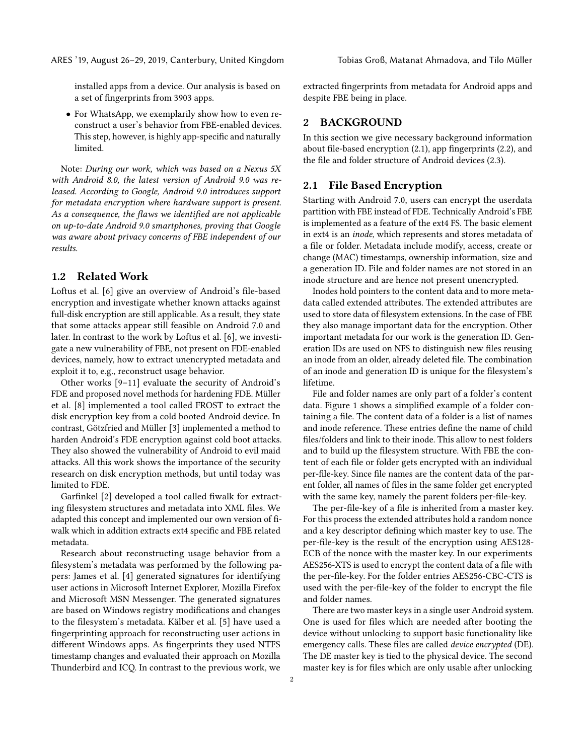ARES '19, August 26–29, 2019, Canterbury, United Kingdom Tobias Groß, Matanat Ahmadova, and Tilo Müller

installed apps from a device. Our analysis is based on a set of fingerprints from 3903 apps.

• For WhatsApp, we exemplarily show how to even reconstruct a user's behavior from FBE-enabled devices. This step, however, is highly app-specific and naturally limited.

Note: During our work, which was based on a Nexus 5X with Android 8.0, the latest version of Android 9.0 was released. According to Google, Android 9.0 introduces support for metadata encryption where hardware support is present. As a consequence, the flaws we identified are not applicable on up-to-date Android 9.0 smartphones, proving that Google was aware about privacy concerns of FBE independent of our results.

#### 1.2 Related Work

Loftus et al. [\[6\]](#page-5-0) give an overview of Android's file-based encryption and investigate whether known attacks against full-disk encryption are still applicable. As a result, they state that some attacks appear still feasible on Android 7.0 and later. In contrast to the work by Loftus et al. [\[6\]](#page-5-0), we investigate a new vulnerability of FBE, not present on FDE-enabled devices, namely, how to extract unencrypted metadata and exploit it to, e.g., reconstruct usage behavior.

Other works [\[9](#page-6-1)[–11\]](#page-6-2) evaluate the security of Android's FDE and proposed novel methods for hardening FDE. Müller et al. [\[8\]](#page-6-3) implemented a tool called FROST to extract the disk encryption key from a cold booted Android device. In contrast, Götzfried and Müller [\[3\]](#page-5-1) implemented a method to harden Android's FDE encryption against cold boot attacks. They also showed the vulnerability of Android to evil maid attacks. All this work shows the importance of the security research on disk encryption methods, but until today was limited to FDE.

Garfinkel [\[2\]](#page-5-2) developed a tool called fiwalk for extracting filesystem structures and metadata into XML files. We adapted this concept and implemented our own version of fiwalk which in addition extracts ext4 specific and FBE related metadata.

Research about reconstructing usage behavior from a filesystem's metadata was performed by the following papers: James et al. [\[4\]](#page-5-3) generated signatures for identifying user actions in Microsoft Internet Explorer, Mozilla Firefox and Microsoft MSN Messenger. The generated signatures are based on Windows registry modifications and changes to the filesystem's metadata. Kälber et al. [\[5\]](#page-5-4) have used a fingerprinting approach for reconstructing user actions in different Windows apps. As fingerprints they used NTFS timestamp changes and evaluated their approach on Mozilla Thunderbird and ICQ. In contrast to the previous work, we

extracted fingerprints from metadata for Android apps and despite FBE being in place.

# 2 BACKGROUND

In this section we give necessary background information about file-based encryption [\(2.1\)](#page-1-0), app fingerprints [\(2.2\)](#page-2-0), and the file and folder structure of Android devices [\(2.3\)](#page-2-1).

#### <span id="page-1-0"></span>2.1 File Based Encryption

Starting with Android 7.0, users can encrypt the userdata partition with FBE instead of FDE. Technically Android's FBE is implemented as a feature of the ext4 FS. The basic element in ext4 is an inode, which represents and stores metadata of a file or folder. Metadata include modify, access, create or change (MAC) timestamps, ownership information, size and a generation ID. File and folder names are not stored in an inode structure and are hence not present unencrypted.

Inodes hold pointers to the content data and to more metadata called extended attributes. The extended attributes are used to store data of filesystem extensions. In the case of FBE they also manage important data for the encryption. Other important metadata for our work is the generation ID. Generation IDs are used on NFS to distinguish new files reusing an inode from an older, already deleted file. The combination of an inode and generation ID is unique for the filesystem's lifetime.

File and folder names are only part of a folder's content data. Figure [1](#page-3-0) shows a simplified example of a folder containing a file. The content data of a folder is a list of names and inode reference. These entries define the name of child files/folders and link to their inode. This allow to nest folders and to build up the filesystem structure. With FBE the content of each file or folder gets encrypted with an individual per-file-key. Since file names are the content data of the parent folder, all names of files in the same folder get encrypted with the same key, namely the parent folders per-file-key.

The per-file-key of a file is inherited from a master key. For this process the extended attributes hold a random nonce and a key descriptor defining which master key to use. The per-file-key is the result of the encryption using AES128- ECB of the nonce with the master key. In our experiments AES256-XTS is used to encrypt the content data of a file with the per-file-key. For the folder entries AES256-CBC-CTS is used with the per-file-key of the folder to encrypt the file and folder names.

There are two master keys in a single user Android system. One is used for files which are needed after booting the device without unlocking to support basic functionality like emergency calls. These files are called *device encrypted* (DE). The DE master key is tied to the physical device. The second master key is for files which are only usable after unlocking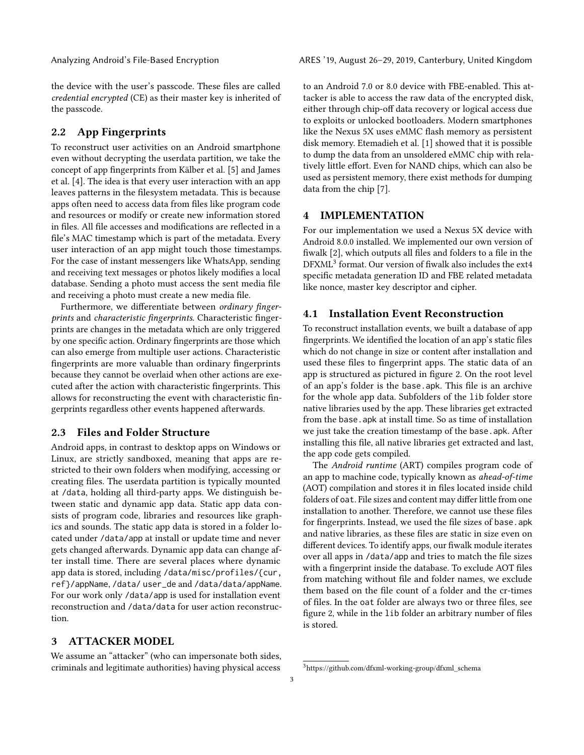the device with the user's passcode. These files are called credential encrypted (CE) as their master key is inherited of the passcode.

# <span id="page-2-0"></span>2.2 App Fingerprints

To reconstruct user activities on an Android smartphone even without decrypting the userdata partition, we take the concept of app fingerprints from Kälber et al. [\[5\]](#page-5-4) and James et al. [\[4\]](#page-5-3). The idea is that every user interaction with an app leaves patterns in the filesystem metadata. This is because apps often need to access data from files like program code and resources or modify or create new information stored in files. All file accesses and modifications are reflected in a file's MAC timestamp which is part of the metadata. Every user interaction of an app might touch those timestamps. For the case of instant messengers like WhatsApp, sending and receiving text messages or photos likely modifies a local database. Sending a photo must access the sent media file and receiving a photo must create a new media file.

Furthermore, we differentiate between ordinary fingerprints and characteristic fingerprints. Characteristic fingerprints are changes in the metadata which are only triggered by one specific action. Ordinary fingerprints are those which can also emerge from multiple user actions. Characteristic fingerprints are more valuable than ordinary fingerprints because they cannot be overlaid when other actions are executed after the action with characteristic fingerprints. This allows for reconstructing the event with characteristic fingerprints regardless other events happened afterwards.

#### <span id="page-2-1"></span>2.3 Files and Folder Structure

Android apps, in contrast to desktop apps on Windows or Linux, are strictly sandboxed, meaning that apps are restricted to their own folders when modifying, accessing or creating files. The userdata partition is typically mounted at /data, holding all third-party apps. We distinguish between static and dynamic app data. Static app data consists of program code, libraries and resources like graphics and sounds. The static app data is stored in a folder located under /data/app at install or update time and never gets changed afterwards. Dynamic app data can change after install time. There are several places where dynamic app data is stored, including /data/misc/profiles/{cur, ref}/appName, /data/ user\_de and /data/data/appName. For our work only /data/app is used for installation event reconstruction and /data/data for user action reconstruction.

# 3 ATTACKER MODEL

We assume an "attacker" (who can impersonate both sides, criminals and legitimate authorities) having physical access

Analyzing Android's File-Based Encryption ARES '19, August 26–29, 2019, Canterbury, United Kingdom

to an Android 7.0 or 8.0 device with FBE-enabled. This attacker is able to access the raw data of the encrypted disk, either through chip-off data recovery or logical access due to exploits or unlocked bootloaders. Modern smartphones like the Nexus 5X uses eMMC flash memory as persistent disk memory. Etemadieh et al. [\[1\]](#page-5-5) showed that it is possible to dump the data from an unsoldered eMMC chip with relatively little effort. Even for NAND chips, which can also be used as persistent memory, there exist methods for dumping data from the chip [\[7\]](#page-5-6).

# 4 IMPLEMENTATION

For our implementation we used a Nexus 5X device with Android 8.0.0 installed. We implemented our own version of fiwalk [\[2\]](#page-5-2), which outputs all files and folders to a file in the DFXML<sup>[3](#page-2-2)</sup> format. Our version of fiwalk also includes the ext4 specific metadata generation ID and FBE related metadata like nonce, master key descriptor and cipher.

# 4.1 Installation Event Reconstruction

To reconstruct installation events, we built a database of app fingerprints. We identified the location of an app's static files which do not change in size or content after installation and used these files to fingerprint apps. The static data of an app is structured as pictured in figure [2.](#page-3-1) On the root level of an app's folder is the base.apk. This file is an archive for the whole app data. Subfolders of the lib folder store native libraries used by the app. These libraries get extracted from the base.apk at install time. So as time of installation we just take the creation timestamp of the base.apk. After installing this file, all native libraries get extracted and last, the app code gets compiled.

The Android runtime (ART) compiles program code of an app to machine code, typically known as ahead-of-time (AOT) compilation and stores it in files located inside child folders of oat. File sizes and content may differ little from one installation to another. Therefore, we cannot use these files for fingerprints. Instead, we used the file sizes of base. apk and native libraries, as these files are static in size even on different devices. To identify apps, our fiwalk module iterates over all apps in /data/app and tries to match the file sizes with a fingerprint inside the database. To exclude AOT files from matching without file and folder names, we exclude them based on the file count of a folder and the cr-times of files. In the oat folder are always two or three files, see figure [2,](#page-3-1) while in the lib folder an arbitrary number of files is stored.

<span id="page-2-2"></span><sup>3</sup>https://github.com/dfxml-working-group/dfxml\_schema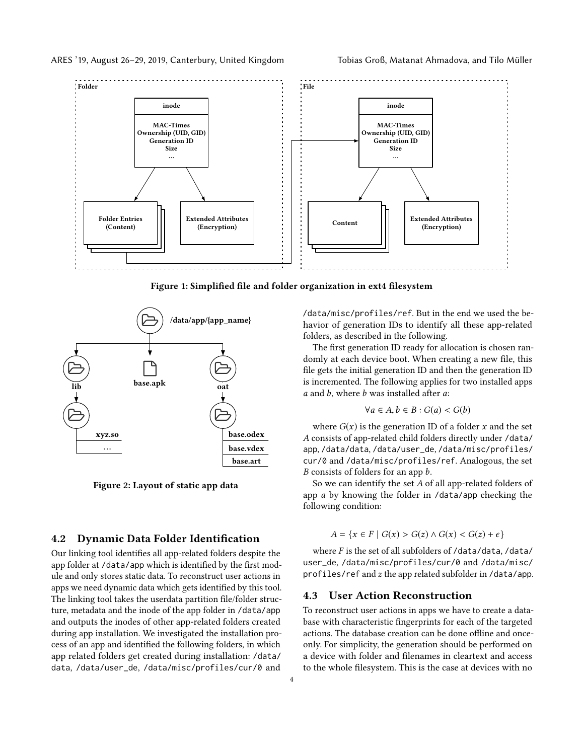<span id="page-3-0"></span>

Figure 1: Simplified file and folder organization in ext4 filesystem

<span id="page-3-1"></span>

Figure 2: Layout of static app data

#### <span id="page-3-3"></span>4.2 Dynamic Data Folder Identification

Our linking tool identifies all app-related folders despite the app folder at /data/app which is identified by the first module and only stores static data. To reconstruct user actions in apps we need dynamic data which gets identified by this tool. The linking tool takes the userdata partition file/folder structure, metadata and the inode of the app folder in /data/app and outputs the inodes of other app-related folders created during app installation. We investigated the installation process of an app and identified the following folders, in which app related folders get created during installation: /data/ data, /data/user\_de, /data/misc/profiles/cur/0 and

/data/misc/profiles/ref. But in the end we used the behavior of generation IDs to identify all these app-related folders, as described in the following.

The first generation ID ready for allocation is chosen randomly at each device boot. When creating a new file, this file gets the initial generation ID and then the generation ID is incremented. The following applies for two installed apps  $a$  and  $b$ , where  $b$  was installed after  $a$ :

$$
\forall a \in A, b \in B : G(a) < G(b)
$$

where  $G(x)$  is the generation ID of a folder x and the set A consists of app-related child folders directly under /data/ app, /data/data, /data/user\_de, /data/misc/profiles/ cur/0 and /data/misc/profiles/ref. Analogous, the set B consists of folders for an app b.

So we can identify the set A of all app-related folders of app a by knowing the folder in /data/app checking the following condition:

$$
A = \{x \in F \mid G(x) > G(z) \land G(x) < G(z) + \epsilon\}
$$

where F is the set of all subfolders of /data/data, /data/ user\_de, /data/misc/profiles/cur/0 and /data/misc/ profiles/ref and z the app related subfolder in /data/app.

#### <span id="page-3-2"></span>4.3 User Action Reconstruction

To reconstruct user actions in apps we have to create a database with characteristic fingerprints for each of the targeted actions. The database creation can be done offline and onceonly. For simplicity, the generation should be performed on a device with folder and filenames in cleartext and access to the whole filesystem. This is the case at devices with no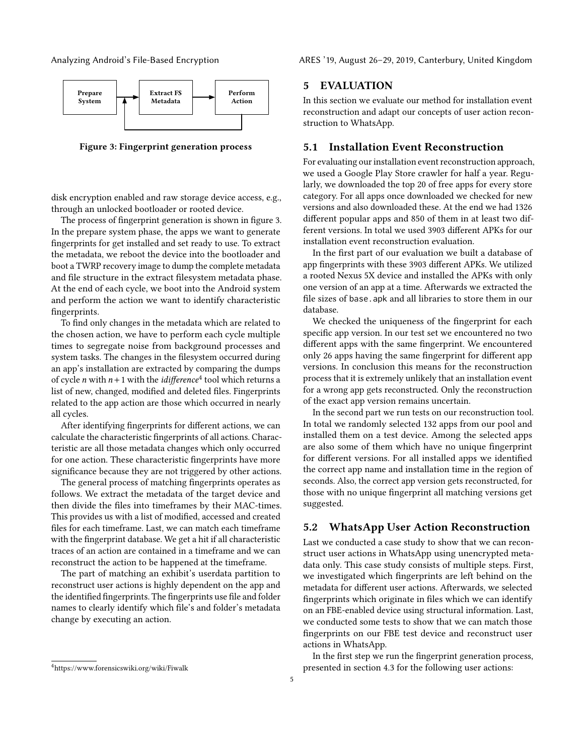<span id="page-4-0"></span>

Figure 3: Fingerprint generation process

disk encryption enabled and raw storage device access, e.g., through an unlocked bootloader or rooted device.

The process of fingerprint generation is shown in figure [3.](#page-4-0) In the prepare system phase, the apps we want to generate fingerprints for get installed and set ready to use. To extract the metadata, we reboot the device into the bootloader and boot a TWRP recovery image to dump the complete metadata and file structure in the extract filesystem metadata phase. At the end of each cycle, we boot into the Android system and perform the action we want to identify characteristic fingerprints.

To find only changes in the metadata which are related to the chosen action, we have to perform each cycle multiple times to segregate noise from background processes and system tasks. The changes in the filesystem occurred during an app's installation are extracted by comparing the dumps of cycle *n* with  $n+1$  with the *idifference*<sup>[4](#page-4-1)</sup> tool which returns a<br>list of new changed, modified and deleted files. Fingerprints list of new, changed, modified and deleted files. Fingerprints related to the app action are those which occurred in nearly all cycles.

After identifying fingerprints for different actions, we can calculate the characteristic fingerprints of all actions. Characteristic are all those metadata changes which only occurred for one action. These characteristic fingerprints have more significance because they are not triggered by other actions.

The general process of matching fingerprints operates as follows. We extract the metadata of the target device and then divide the files into timeframes by their MAC-times. This provides us with a list of modified, accessed and created files for each timeframe. Last, we can match each timeframe with the fingerprint database. We get a hit if all characteristic traces of an action are contained in a timeframe and we can reconstruct the action to be happened at the timeframe.

The part of matching an exhibit's userdata partition to reconstruct user actions is highly dependent on the app and the identified fingerprints. The fingerprints use file and folder names to clearly identify which file's and folder's metadata change by executing an action.

<span id="page-4-1"></span><sup>4</sup>https://www.forensicswiki.org/wiki/Fiwalk

Analyzing Android's File-Based Encryption ARES '19, August 26–29, 2019, Canterbury, United Kingdom

# 5 EVALUATION

In this section we evaluate our method for installation event reconstruction and adapt our concepts of user action reconstruction to WhatsApp.

# 5.1 Installation Event Reconstruction

For evaluating our installation event reconstruction approach, we used a Google Play Store crawler for half a year. Regularly, we downloaded the top 20 of free apps for every store category. For all apps once downloaded we checked for new versions and also downloaded these. At the end we had 1326 different popular apps and 850 of them in at least two different versions. In total we used 3903 different APKs for our installation event reconstruction evaluation.

In the first part of our evaluation we built a database of app fingerprints with these 3903 different APKs. We utilized a rooted Nexus 5X device and installed the APKs with only one version of an app at a time. Afterwards we extracted the file sizes of base.apk and all libraries to store them in our database.

We checked the uniqueness of the fingerprint for each specific app version. In our test set we encountered no two different apps with the same fingerprint. We encountered only 26 apps having the same fingerprint for different app versions. In conclusion this means for the reconstruction process that it is extremely unlikely that an installation event for a wrong app gets reconstructed. Only the reconstruction of the exact app version remains uncertain.

In the second part we run tests on our reconstruction tool. In total we randomly selected 132 apps from our pool and installed them on a test device. Among the selected apps are also some of them which have no unique fingerprint for different versions. For all installed apps we identified the correct app name and installation time in the region of seconds. Also, the correct app version gets reconstructed, for those with no unique fingerprint all matching versions get suggested.

#### 5.2 WhatsApp User Action Reconstruction

Last we conducted a case study to show that we can reconstruct user actions in WhatsApp using unencrypted metadata only. This case study consists of multiple steps. First, we investigated which fingerprints are left behind on the metadata for different user actions. Afterwards, we selected fingerprints which originate in files which we can identify on an FBE-enabled device using structural information. Last, we conducted some tests to show that we can match those fingerprints on our FBE test device and reconstruct user actions in WhatsApp.

In the first step we run the fingerprint generation process, presented in section [4.3](#page-3-2) for the following user actions: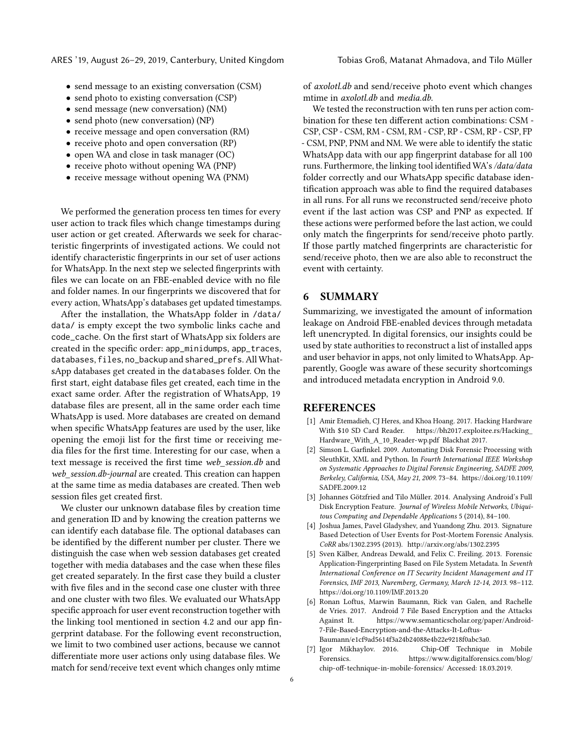- send message to an existing conversation (CSM)
- send photo to existing conversation (CSP)
- send message (new conversation) (NM)
- send photo (new conversation) (NP)
- receive message and open conversation (RM)
- receive photo and open conversation (RP)
- open WA and close in task manager (OC)
- receive photo without opening WA (PNP)
- receive message without opening WA (PNM)

We performed the generation process ten times for every user action to track files which change timestamps during user action or get created. Afterwards we seek for characteristic fingerprints of investigated actions. We could not identify characteristic fingerprints in our set of user actions for WhatsApp. In the next step we selected fingerprints with files we can locate on an FBE-enabled device with no file and folder names. In our fingerprints we discovered that for every action, WhatsApp's databases get updated timestamps.

After the installation, the WhatsApp folder in /data/ data/ is empty except the two symbolic links cache and code\_cache. On the first start of WhatsApp six folders are created in the specific order: app\_minidumps, app\_traces, databases, files, no\_backup and shared\_prefs. All WhatsApp databases get created in the databases folder. On the first start, eight database files get created, each time in the exact same order. After the registration of WhatsApp, 19 database files are present, all in the same order each time WhatsApp is used. More databases are created on demand when specific WhatsApp features are used by the user, like opening the emoji list for the first time or receiving media files for the first time. Interesting for our case, when a text message is received the first time web session.db and web session.db-journal are created. This creation can happen at the same time as media databases are created. Then web session files get created first.

We cluster our unknown database files by creation time and generation ID and by knowing the creation patterns we can identify each database file. The optional databases can be identified by the different number per cluster. There we distinguish the case when web session databases get created together with media databases and the case when these files get created separately. In the first case they build a cluster with five files and in the second case one cluster with three and one cluster with two files. We evaluated our WhatsApp specific approach for user event reconstruction together with the linking tool mentioned in section [4.2](#page-3-3) and our app fingerprint database. For the following event reconstruction, we limit to two combined user actions, because we cannot differentiate more user actions only using database files. We match for send/receive text event which changes only mtime

of axolotl.db and send/receive photo event which changes mtime in axolotl.db and media.db.

We tested the reconstruction with ten runs per action combination for these ten different action combinations: CSM - CSP, CSP - CSM, RM - CSM, RM - CSP, RP - CSM, RP - CSP, FP - CSM, PNP, PNM and NM. We were able to identify the static WhatsApp data with our app fingerprint database for all 100 runs. Furthermore, the linking tool identified WA's/data/data folder correctly and our WhatsApp specific database identification approach was able to find the required databases in all runs. For all runs we reconstructed send/receive photo event if the last action was CSP and PNP as expected. If these actions were performed before the last action, we could only match the fingerprints for send/receive photo partly. If those partly matched fingerprints are characteristic for send/receive photo, then we are also able to reconstruct the event with certainty.

#### 6 SUMMARY

Summarizing, we investigated the amount of information leakage on Android FBE-enabled devices through metadata left unencrypted. In digital forensics, our insights could be used by state authorities to reconstruct a list of installed apps and user behavior in apps, not only limited to WhatsApp. Apparently, Google was aware of these security shortcomings and introduced metadata encryption in Android 9.0.

#### REFERENCES

- <span id="page-5-5"></span>[1] Amir Etemadieh, CJ Heres, and Khoa Hoang. 2017. Hacking Hardware With \$10 SD Card Reader. [https://bh2017.exploitee.rs/Hacking\\_](https://bh2017.exploitee.rs/Hacking_Hardware_With_A_10_Reader-wp.pdf) [Hardware\\_With\\_A\\_10\\_Reader-wp.pdf](https://bh2017.exploitee.rs/Hacking_Hardware_With_A_10_Reader-wp.pdf) Blackhat 2017.
- <span id="page-5-2"></span>[2] Simson L. Garfinkel. 2009. Automating Disk Forensic Processing with SleuthKit, XML and Python. In Fourth International IEEE Workshop on Systematic Approaches to Digital Forensic Engineering, SADFE 2009, Berkeley, California, USA, May 21, 2009. 73–84. [https://doi.org/10.1109/](https://doi.org/10.1109/SADFE.2009.12) [SADFE.2009.12](https://doi.org/10.1109/SADFE.2009.12)
- <span id="page-5-1"></span>[3] Johannes Götzfried and Tilo Müller. 2014. Analysing Android's Full Disk Encryption Feature. Journal of Wireless Mobile Networks, Ubiquitous Computing and Dependable Applications 5 (2014), 84–100.
- <span id="page-5-3"></span>[4] Joshua James, Pavel Gladyshev, and Yuandong Zhu. 2013. Signature Based Detection of User Events for Post-Mortem Forensic Analysis. CoRR abs/1302.2395 (2013).<http://arxiv.org/abs/1302.2395>
- <span id="page-5-4"></span>[5] Sven Kälber, Andreas Dewald, and Felix C. Freiling. 2013. Forensic Application-Fingerprinting Based on File System Metadata. In Seventh International Conference on IT Security Incident Management and IT Forensics, IMF 2013, Nuremberg, Germany, March 12-14, 2013. 98–112. <https://doi.org/10.1109/IMF.2013.20>
- <span id="page-5-0"></span>[6] Ronan Loftus, Marwin Baumann, Rick van Galen, and Rachelle de Vries. 2017. Android 7 File Based Encryption and the Attacks Against It. https://www.semanticscholar.org/paper/Android-7-File-Based-Encryption-and-the-Attacks-It-Loftus-Baumann/e1cf9ad5614f3a24b24088e4b22e9218f0abc3a0.
- <span id="page-5-6"></span>[7] Igor Mikhaylov. 2016. Chip-Off Technique in Mobile Forensics. [https://www.digitalforensics.com/blog/](https://www.digitalforensics.com/blog/chip-off-technique-in-mobile-forensics/) [chip-off-technique-in-mobile-forensics/](https://www.digitalforensics.com/blog/chip-off-technique-in-mobile-forensics/) Accessed: 18.03.2019.